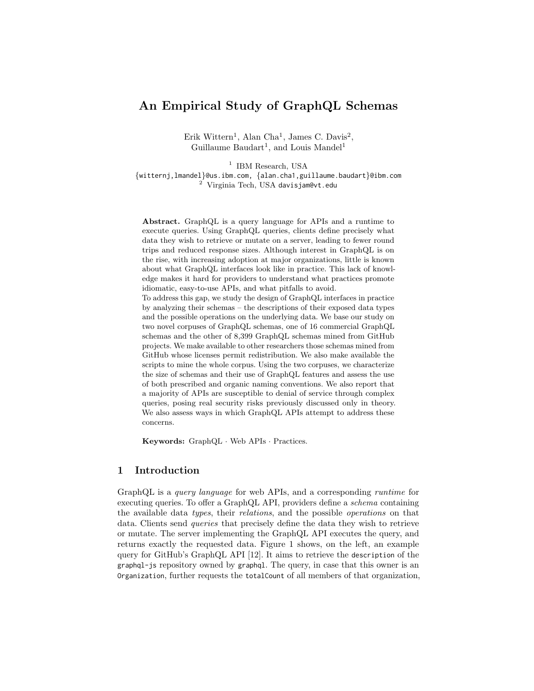# An Empirical Study of GraphQL Schemas

Erik Wittern<sup>1</sup>, Alan Cha<sup>1</sup>, James C. Davis<sup>2</sup>, Guillaume Baudart<sup>1</sup>, and Louis Mandel<sup>1</sup>

<sup>1</sup> IBM Research, USA

{witternj,lmandel}@us.ibm.com, {alan.cha1,guillaume.baudart}@ibm.com <sup>2</sup> Virginia Tech, USA davisjam@vt.edu

Abstract. GraphQL is a query language for APIs and a runtime to execute queries. Using GraphQL queries, clients define precisely what data they wish to retrieve or mutate on a server, leading to fewer round trips and reduced response sizes. Although interest in GraphQL is on the rise, with increasing adoption at major organizations, little is known about what GraphQL interfaces look like in practice. This lack of knowledge makes it hard for providers to understand what practices promote idiomatic, easy-to-use APIs, and what pitfalls to avoid.

To address this gap, we study the design of GraphQL interfaces in practice by analyzing their schemas – the descriptions of their exposed data types and the possible operations on the underlying data. We base our study on two novel corpuses of GraphQL schemas, one of 16 commercial GraphQL schemas and the other of 8,399 GraphQL schemas mined from GitHub projects. We make available to other researchers those schemas mined from GitHub whose licenses permit redistribution. We also make available the scripts to mine the whole corpus. Using the two corpuses, we characterize the size of schemas and their use of GraphQL features and assess the use of both prescribed and organic naming conventions. We also report that a majority of APIs are susceptible to denial of service through complex queries, posing real security risks previously discussed only in theory. We also assess ways in which GraphQL APIs attempt to address these concerns.

Keywords: GraphQL · Web APIs · Practices.

# 1 Introduction

GraphQL is a query language for web APIs, and a corresponding runtime for executing queries. To offer a GraphQL API, providers define a schema containing the available data types, their relations, and the possible operations on that data. Clients send *queries* that precisely define the data they wish to retrieve or mutate. The server implementing the GraphQL API executes the query, and returns exactly the requested data. Figure [1](#page-1-0) shows, on the left, an example query for GitHub's GraphQL API [\[12\]](#page-15-0). It aims to retrieve the description of the graphql-js repository owned by graphql. The query, in case that this owner is an Organization, further requests the totalCount of all members of that organization,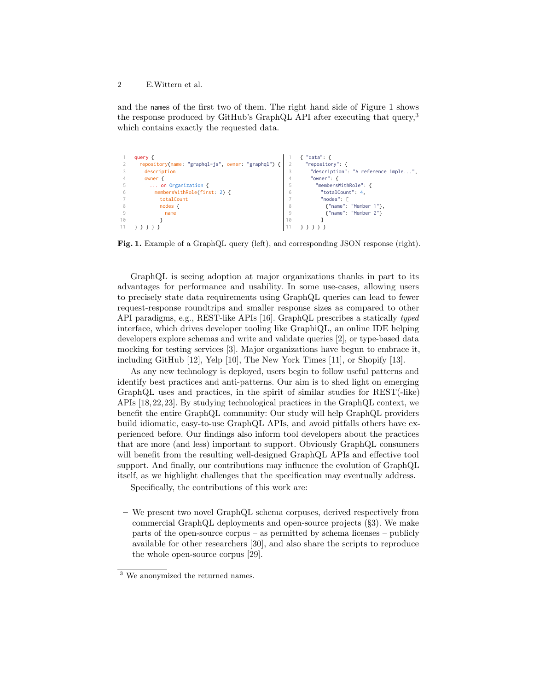and the names of the first two of them. The right hand side of Figure [1](#page-1-0) shows the response produced by GitHub's GraphQL API after executing that query,<sup>[3](#page-1-1)</sup> which contains exactly the requested data.

```
auery \ell2 repository(name: "graphql-js", owner: "graphql") {
           description
           owner f... on Organization {
                membersWithRole(first: 2) {
                  totalCount
                  nodes {
 9 name
10 }
11 } } } } }
                                                                                    \{ "data": \{"repository": {
                                                                            3 "description": "A reference imple...",<br>
4 "owner": {<br>
5 "members"WithRole": {<br>
6 "totalCount": 4,<br>
7 "nodes": [<br>
8 {"name": "Member 1"},<br>
9 {"name": "Member 2"}
                                                                                          "owner": {
                                                                                5 "membersWithRole": {
6 "totalCount": 4,
7 "nodes": [
                                                                                                8 {"name": "Member 1"},
                                                                                                  9 {"name": "Member 2"}
                                                                               10 ]
                                                                               11 } } } } }
```
<span id="page-1-0"></span>Fig. 1. Example of a GraphQL query (left), and corresponding JSON response (right).

GraphQL is seeing adoption at major organizations thanks in part to its advantages for performance and usability. In some use-cases, allowing users to precisely state data requirements using GraphQL queries can lead to fewer request-response roundtrips and smaller response sizes as compared to other API paradigms, e.g., REST-like APIs [\[16\]](#page-15-1). GraphQL prescribes a statically typed interface, which drives developer tooling like GraphiQL, an online IDE helping developers explore schemas and write and validate queries [\[2\]](#page-14-0), or type-based data mocking for testing services [\[3\]](#page-14-1). Major organizations have begun to embrace it, including GitHub [\[12\]](#page-15-0), Yelp [\[10\]](#page-14-2), The New York Times [\[11\]](#page-15-2), or Shopify [\[13\]](#page-15-3).

As any new technology is deployed, users begin to follow useful patterns and identify best practices and anti-patterns. Our aim is to shed light on emerging GraphQL uses and practices, in the spirit of similar studies for REST(-like) APIs [\[18,](#page-15-4) [22,](#page-15-5) [23\]](#page-15-6). By studying technological practices in the GraphQL context, we benefit the entire GraphQL community: Our study will help GraphQL providers build idiomatic, easy-to-use GraphQL APIs, and avoid pitfalls others have experienced before. Our findings also inform tool developers about the practices that are more (and less) important to support. Obviously GraphQL consumers will benefit from the resulting well-designed GraphQL APIs and effective tool support. And finally, our contributions may influence the evolution of GraphQL itself, as we highlight challenges that the specification may eventually address.

Specifically, the contributions of this work are:

– We present two novel GraphQL schema corpuses, derived respectively from commercial GraphQL deployments and open-source projects (§[3\)](#page-4-0). We make parts of the open-source corpus – as permitted by schema licenses – publicly available for other researchers [\[30\]](#page-15-7), and also share the scripts to reproduce the whole open-source corpus [\[29\]](#page-15-8).

<span id="page-1-1"></span> $\overline{3}$  We anonymized the returned names.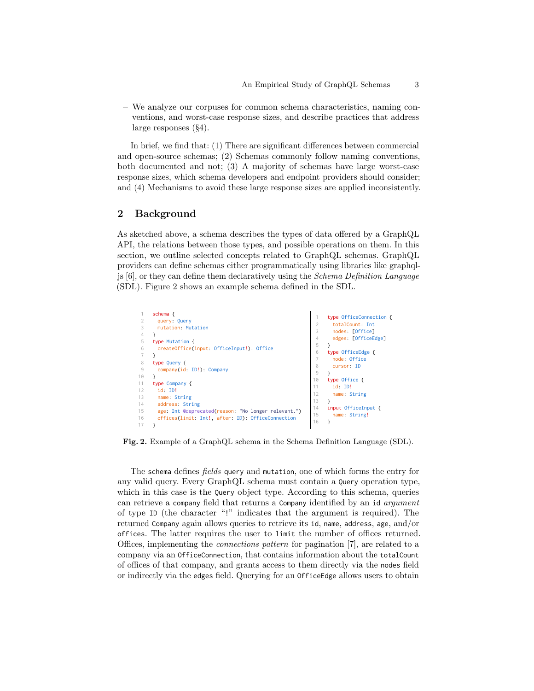– We analyze our corpuses for common schema characteristics, naming conventions, and worst-case response sizes, and describe practices that address large responses (§[4\)](#page-6-0).

In brief, we find that: (1) There are significant differences between commercial and open-source schemas; (2) Schemas commonly follow naming conventions, both documented and not; (3) A majority of schemas have large worst-case response sizes, which schema developers and endpoint providers should consider; and (4) Mechanisms to avoid these large response sizes are applied inconsistently.

# <span id="page-2-1"></span>2 Background

As sketched above, a schema describes the types of data offered by a GraphQL API, the relations between those types, and possible operations on them. In this section, we outline selected concepts related to GraphQL schemas. GraphQL providers can define schemas either programmatically using libraries like graphqlis  $[6]$ , or they can define them declaratively using the *Schema Definition Language* (SDL). Figure [2](#page-2-0) shows an example schema defined in the SDL.



<span id="page-2-0"></span>Fig. 2. Example of a GraphQL schema in the Schema Definition Language (SDL).

The schema defines fields query and mutation, one of which forms the entry for any valid query. Every GraphQL schema must contain a Query operation type, which in this case is the Query object type. According to this schema, queries can retrieve a company field that returns a Company identified by an id argument of type ID (the character "!" indicates that the argument is required). The returned Company again allows queries to retrieve its id, name, address, age, and/or offices. The latter requires the user to limit the number of offices returned. Offices, implementing the connections pattern for pagination [\[7\]](#page-14-4), are related to a company via an OfficeConnection, that contains information about the totalCount of offices of that company, and grants access to them directly via the nodes field or indirectly via the edges field. Querying for an OfficeEdge allows users to obtain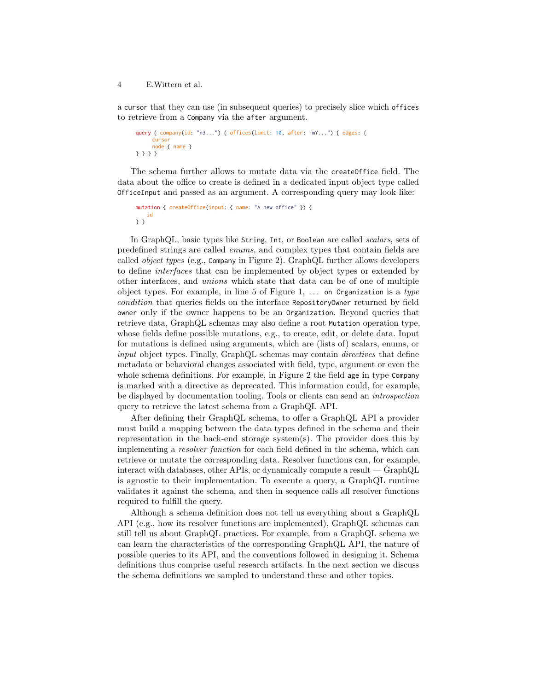4 E.Wittern et al.

a cursor that they can use (in subsequent queries) to precisely slice which offices to retrieve from a Company via the after argument.

```
query { company(id: "n3...") { offices(limit: 10, after: "mY...") { edges: {
     cursor
     node { name }
} } } }
```
The schema further allows to mutate data via the createOffice field. The data about the office to create is defined in a dedicated input object type called OfficeInput and passed as an argument. A corresponding query may look like:

```
mutation { createOffice(input: { name: "A new office" }) {
   id
} }
```
In GraphQL, basic types like String, Int, or Boolean are called *scalars*, sets of predefined strings are called enums, and complex types that contain fields are called object types (e.g., Company in Figure [2\)](#page-2-0). GraphQL further allows developers to define interfaces that can be implemented by object types or extended by other interfaces, and unions which state that data can be of one of multiple object types. For example, in line 5 of Figure [1,](#page-1-0)  $\dots$  on Organization is a type condition that queries fields on the interface RepositoryOwner returned by field owner only if the owner happens to be an Organization. Beyond queries that retrieve data, GraphQL schemas may also define a root Mutation operation type, whose fields define possible mutations, e.g., to create, edit, or delete data. Input for mutations is defined using arguments, which are (lists of) scalars, enums, or input object types. Finally, GraphQL schemas may contain directives that define metadata or behavioral changes associated with field, type, argument or even the whole schema definitions. For example, in Figure [2](#page-2-0) the field age in type Company is marked with a directive as deprecated. This information could, for example, be displayed by documentation tooling. Tools or clients can send an introspection query to retrieve the latest schema from a GraphQL API.

After defining their GraphQL schema, to offer a GraphQL API a provider must build a mapping between the data types defined in the schema and their representation in the back-end storage system(s). The provider does this by implementing a resolver function for each field defined in the schema, which can retrieve or mutate the corresponding data. Resolver functions can, for example, interact with databases, other APIs, or dynamically compute a result — GraphQL is agnostic to their implementation. To execute a query, a GraphQL runtime validates it against the schema, and then in sequence calls all resolver functions required to fulfill the query.

Although a schema definition does not tell us everything about a GraphQL API (e.g., how its resolver functions are implemented), GraphQL schemas can still tell us about GraphQL practices. For example, from a GraphQL schema we can learn the characteristics of the corresponding GraphQL API, the nature of possible queries to its API, and the conventions followed in designing it. Schema definitions thus comprise useful research artifacts. In the next section we discuss the schema definitions we sampled to understand these and other topics.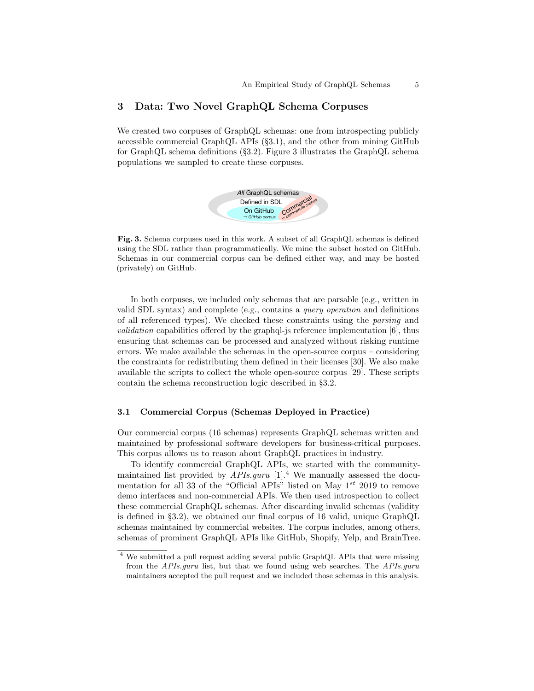# <span id="page-4-0"></span>3 Data: Two Novel GraphQL Schema Corpuses

We created two corpuses of GraphQL schemas: one from introspecting publicly accessible commercial GraphQL APIs (§[3.1\)](#page-4-1), and the other from mining GitHub for GraphQL schema definitions (§[3.2\)](#page-5-0). Figure [3](#page-4-2) illustrates the GraphQL schema populations we sampled to create these corpuses.



<span id="page-4-2"></span>Fig. 3. Schema corpuses used in this work. A subset of all GraphQL schemas is defined using the SDL rather than programmatically. We mine the subset hosted on GitHub. Schemas in our commercial corpus can be defined either way, and may be hosted (privately) on GitHub.

In both corpuses, we included only schemas that are parsable (e.g., written in valid SDL syntax) and complete (e.g., contains a *query operation* and definitions of all referenced types). We checked these constraints using the parsing and validation capabilities offered by the graphql-js reference implementation [\[6\]](#page-14-3), thus ensuring that schemas can be processed and analyzed without risking runtime errors. We make available the schemas in the open-source corpus – considering the constraints for redistributing them defined in their licenses [\[30\]](#page-15-7). We also make available the scripts to collect the whole open-source corpus [\[29\]](#page-15-8). These scripts contain the schema reconstruction logic described in §[3.2.](#page-5-0)

#### <span id="page-4-1"></span>3.1 Commercial Corpus (Schemas Deployed in Practice)

Our commercial corpus (16 schemas) represents GraphQL schemas written and maintained by professional software developers for business-critical purposes. This corpus allows us to reason about GraphQL practices in industry.

To identify commercial GraphQL APIs, we started with the communitymaintained list provided by  $APIs.guru$  [\[1\]](#page-14-5).<sup>[4](#page-4-3)</sup> We manually assessed the documentation for all 33 of the "Official APIs" listed on May  $1^{st}$  2019 to remove demo interfaces and non-commercial APIs. We then used introspection to collect these commercial GraphQL schemas. After discarding invalid schemas (validity is defined in §[3.2\)](#page-5-0), we obtained our final corpus of 16 valid, unique GraphQL schemas maintained by commercial websites. The corpus includes, among others, schemas of prominent GraphQL APIs like GitHub, Shopify, Yelp, and BrainTree.

<span id="page-4-3"></span><sup>4</sup> We submitted a pull request adding several public GraphQL APIs that were missing from the APIs.guru list, but that we found using web searches. The APIs.guru maintainers accepted the pull request and we included those schemas in this analysis.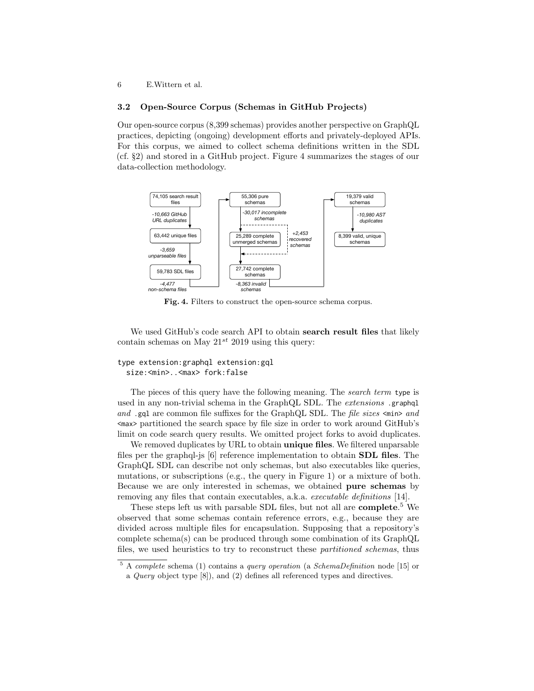### <span id="page-5-0"></span>3.2 Open-Source Corpus (Schemas in GitHub Projects)

Our open-source corpus (8,399 schemas) provides another perspective on GraphQL practices, depicting (ongoing) development efforts and privately-deployed APIs. For this corpus, we aimed to collect schema definitions written in the SDL (cf. §[2\)](#page-2-1) and stored in a GitHub project. Figure [4](#page-5-1) summarizes the stages of our data-collection methodology.



<span id="page-5-1"></span>Fig. 4. Filters to construct the open-source schema corpus.

We used GitHub's code search API to obtain **search result files** that likely contain schemas on May  $21^{st}$  2019 using this query:

### type extension:graphql extension:gql size:<min>..<max> fork:false

The pieces of this query have the following meaning. The *search term* type is used in any non-trivial schema in the GraphQL SDL. The extensions graphql and .gql are common file suffixes for the GraphQL SDL. The file sizes  $\langle \text{min} \rangle$  and <max> partitioned the search space by file size in order to work around GitHub's limit on code search query results. We omitted project forks to avoid duplicates.

We removed duplicates by URL to obtain **unique files**. We filtered unparsable files per the graphql-js [\[6\]](#page-14-3) reference implementation to obtain SDL files. The GraphQL SDL can describe not only schemas, but also executables like queries, mutations, or subscriptions (e.g., the query in Figure [1\)](#page-1-0) or a mixture of both. Because we are only interested in schemas, we obtained pure schemas by removing any files that contain executables, a.k.a. executable definitions [\[14\]](#page-15-9).

These steps left us with parsable SDL files, but not all are complete. [5](#page-5-2) We observed that some schemas contain reference errors, e.g., because they are divided across multiple files for encapsulation. Supposing that a repository's complete schema(s) can be produced through some combination of its GraphQL files, we used heuristics to try to reconstruct these partitioned schemas, thus

<span id="page-5-2"></span> $5$  A *complete* schema (1) contains a *query operation* (a *SchemaDefinition* node [\[15\]](#page-15-10) or a Query object type [\[8\]](#page-14-6)), and (2) defines all referenced types and directives.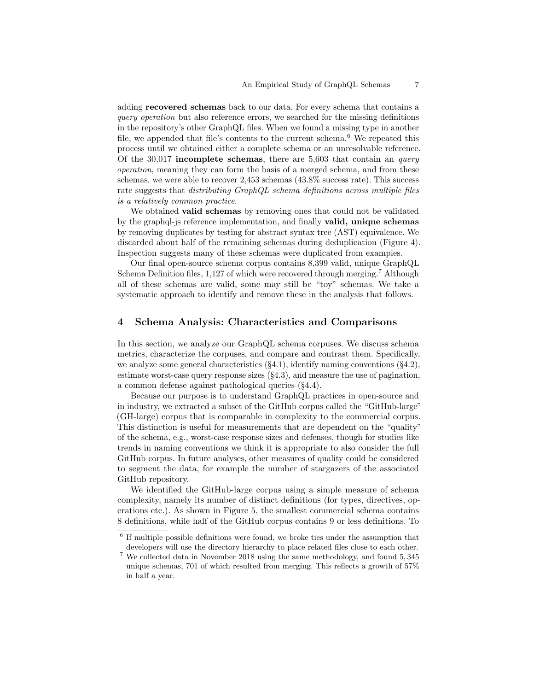adding recovered schemas back to our data. For every schema that contains a query operation but also reference errors, we searched for the missing definitions in the repository's other GraphQL files. When we found a missing type in another file, we appended that file's contents to the current schema.<sup>[6](#page-6-1)</sup> We repeated this process until we obtained either a complete schema or an unresolvable reference. Of the 30,017 incomplete schemas, there are 5,603 that contain an *query* operation, meaning they can form the basis of a merged schema, and from these schemas, we were able to recover 2,453 schemas (43.8% success rate). This success rate suggests that *distributing GraphQL schema definitions across multiple files* is a relatively common practice.

We obtained valid schemas by removing ones that could not be validated by the graphql-js reference implementation, and finally valid, unique schemas by removing duplicates by testing for abstract syntax tree (AST) equivalence. We discarded about half of the remaining schemas during deduplication (Figure [4\)](#page-5-1). Inspection suggests many of these schemas were duplicated from examples.

Our final open-source schema corpus contains 8,399 valid, unique GraphQL Schema Definition files,  $1,127$  $1,127$  of which were recovered through merging.<sup>7</sup> Although all of these schemas are valid, some may still be "toy" schemas. We take a systematic approach to identify and remove these in the analysis that follows.

### <span id="page-6-0"></span>4 Schema Analysis: Characteristics and Comparisons

In this section, we analyze our GraphQL schema corpuses. We discuss schema metrics, characterize the corpuses, and compare and contrast them. Specifically, we analyze some general characteristics (§[4.1\)](#page-7-0), identify naming conventions (§[4.2\)](#page-8-0), estimate worst-case query response sizes (§[4.3\)](#page-10-0), and measure the use of pagination, a common defense against pathological queries (§[4.4\)](#page-11-0).

Because our purpose is to understand GraphQL practices in open-source and in industry, we extracted a subset of the GitHub corpus called the "GitHub-large" (GH-large) corpus that is comparable in complexity to the commercial corpus. This distinction is useful for measurements that are dependent on the "quality" of the schema, e.g., worst-case response sizes and defenses, though for studies like trends in naming conventions we think it is appropriate to also consider the full GitHub corpus. In future analyses, other measures of quality could be considered to segment the data, for example the number of stargazers of the associated GitHub repository.

We identified the GitHub-large corpus using a simple measure of schema complexity, namely its number of distinct definitions (for types, directives, operations etc.). As shown in Figure [5,](#page-7-1) the smallest commercial schema contains 8 definitions, while half of the GitHub corpus contains 9 or less definitions. To

<span id="page-6-1"></span><sup>&</sup>lt;sup>6</sup> If multiple possible definitions were found, we broke ties under the assumption that developers will use the directory hierarchy to place related files close to each other.

<span id="page-6-2"></span><sup>7</sup> We collected data in November 2018 using the same methodology, and found 5, 345 unique schemas, 701 of which resulted from merging. This reflects a growth of 57% in half a year.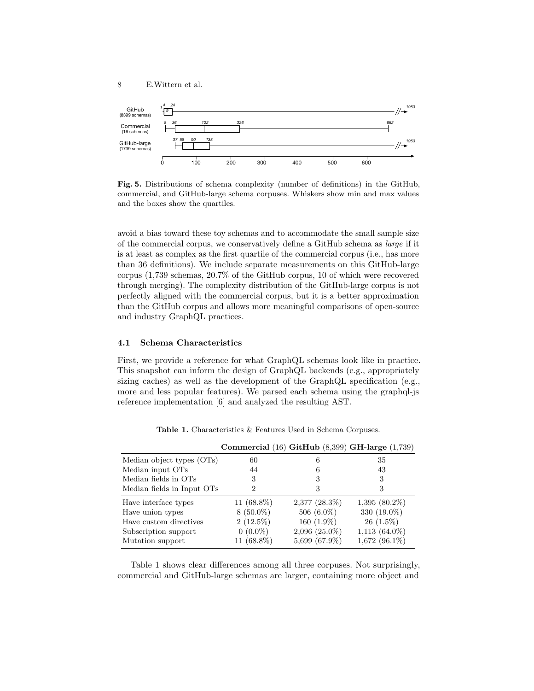

<span id="page-7-1"></span>Fig. 5. Distributions of schema complexity (number of definitions) in the GitHub, commercial, and GitHub-large schema corpuses. Whiskers show min and max values and the boxes show the quartiles.

avoid a bias toward these toy schemas and to accommodate the small sample size of the commercial corpus, we conservatively define a GitHub schema as large if it is at least as complex as the first quartile of the commercial corpus (i.e., has more than 36 definitions). We include separate measurements on this GitHub-large corpus (1,739 schemas, 20.7% of the GitHub corpus, 10 of which were recovered through merging). The complexity distribution of the GitHub-large corpus is not perfectly aligned with the commercial corpus, but it is a better approximation than the GitHub corpus and allows more meaningful comparisons of open-source and industry GraphQL practices.

#### <span id="page-7-0"></span>4.1 Schema Characteristics

First, we provide a reference for what GraphQL schemas look like in practice. This snapshot can inform the design of GraphQL backends (e.g., appropriately sizing caches) as well as the development of the GraphQL specification (e.g., more and less popular features). We parsed each schema using the graphql-js reference implementation [\[6\]](#page-14-3) and analyzed the resulting AST.

|                            | Commercial $(16)$ GitHub $(8,399)$ GH-large $(1,739)$ |                    |                 |
|----------------------------|-------------------------------------------------------|--------------------|-----------------|
| Median object types (OTs)  | 60                                                    | 6                  | 35              |
| Median input OTs           | 44                                                    | 6                  | 43              |
| Median fields in OTs       | 3                                                     | 3                  | 3               |
| Median fields in Input OTs | 2                                                     | 3                  | 3               |
| Have interface types       | 11 (68.8%)                                            | $2,377$ $(28.3\%)$ | $1,395(80.2\%)$ |
| Have union types           | $8(50.0\%)$                                           | 506 $(6.0\%)$      | 330 (19.0%)     |
| Have custom directives     | $2(12.5\%)$                                           | 160 (1.9%)         | $26(1.5\%)$     |
| Subscription support       | $0(0.0\%)$                                            | $2,096$ $(25.0\%)$ | $1,113(64.0\%)$ |
| Mutation support           | 11 $(68.8\%)$                                         | 5,699 (67.9%)      | 1,672 (96.1%)   |

<span id="page-7-2"></span>Table 1. Characteristics & Features Used in Schema Corpuses.

Table [1](#page-7-2) shows clear differences among all three corpuses. Not surprisingly, commercial and GitHub-large schemas are larger, containing more object and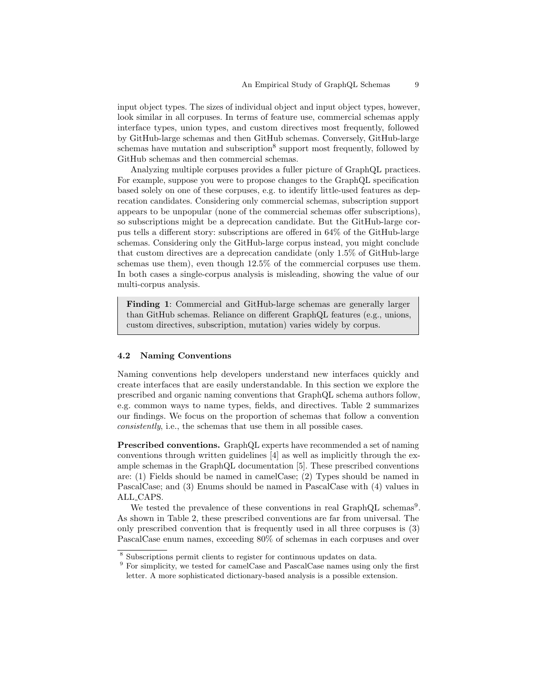input object types. The sizes of individual object and input object types, however, look similar in all corpuses. In terms of feature use, commercial schemas apply interface types, union types, and custom directives most frequently, followed by GitHub-large schemas and then GitHub schemas. Conversely, GitHub-large schemas have mutation and subscription<sup>[8](#page-8-1)</sup> support most frequently, followed by GitHub schemas and then commercial schemas.

Analyzing multiple corpuses provides a fuller picture of GraphQL practices. For example, suppose you were to propose changes to the GraphQL specification based solely on one of these corpuses, e.g. to identify little-used features as deprecation candidates. Considering only commercial schemas, subscription support appears to be unpopular (none of the commercial schemas offer subscriptions), so subscriptions might be a deprecation candidate. But the GitHub-large corpus tells a different story: subscriptions are offered in 64% of the GitHub-large schemas. Considering only the GitHub-large corpus instead, you might conclude that custom directives are a deprecation candidate (only 1.5% of GitHub-large schemas use them), even though 12.5% of the commercial corpuses use them. In both cases a single-corpus analysis is misleading, showing the value of our multi-corpus analysis.

Finding 1: Commercial and GitHub-large schemas are generally larger than GitHub schemas. Reliance on different GraphQL features (e.g., unions, custom directives, subscription, mutation) varies widely by corpus.

### <span id="page-8-0"></span>4.2 Naming Conventions

Naming conventions help developers understand new interfaces quickly and create interfaces that are easily understandable. In this section we explore the prescribed and organic naming conventions that GraphQL schema authors follow, e.g. common ways to name types, fields, and directives. Table [2](#page-9-0) summarizes our findings. We focus on the proportion of schemas that follow a convention consistently, i.e., the schemas that use them in all possible cases.

Prescribed conventions. GraphQL experts have recommended a set of naming conventions through written guidelines [\[4\]](#page-14-7) as well as implicitly through the example schemas in the GraphQL documentation [\[5\]](#page-14-8). These prescribed conventions are: (1) Fields should be named in camelCase; (2) Types should be named in PascalCase; and (3) Enums should be named in PascalCase with (4) values in ALL CAPS.

We tested the prevalence of these conventions in real GraphQL schemas<sup>[9](#page-8-2)</sup>. As shown in Table [2,](#page-9-0) these prescribed conventions are far from universal. The only prescribed convention that is frequently used in all three corpuses is (3) PascalCase enum names, exceeding 80% of schemas in each corpuses and over

<span id="page-8-1"></span><sup>8</sup> Subscriptions permit clients to register for continuous updates on data.

<span id="page-8-2"></span><sup>&</sup>lt;sup>9</sup> For simplicity, we tested for camelCase and PascalCase names using only the first letter. A more sophisticated dictionary-based analysis is a possible extension.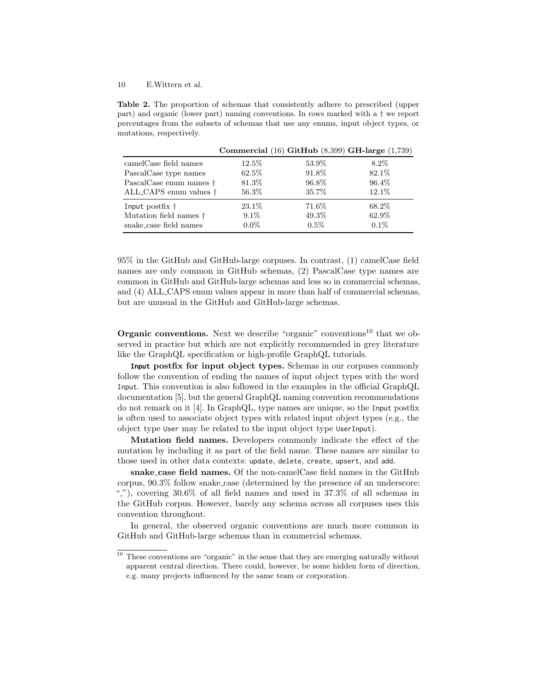#### 10 E.Wittern et al.

<span id="page-9-0"></span>Table 2. The proportion of schemas that consistently adhere to prescribed (upper part) and organic (lower part) naming conventions. In rows marked with a † we report percentages from the subsets of schemas that use any enums, input object types, or mutations, respectively.

|                                | Commercial $(16)$ GitHub $(8,399)$ GH-large $(1,739)$ |         |         |
|--------------------------------|-------------------------------------------------------|---------|---------|
| camelCase field names          | 12.5%                                                 | 53.9%   | 8.2%    |
| PascalCase type names          | 62.5%                                                 | 91.8%   | 82.1%   |
| PascalCase enum names †        | 81.3%                                                 | 96.8%   | 96.4%   |
| ALL_CAPS enum values $\dagger$ | 56.3%                                                 | 35.7%   | 12.1%   |
| Input postfix $\dagger$        | 23.1\%                                                | 71.6%   | 68.2%   |
| Mutation field names †         | $9.1\%$                                               | 49.3%   | 62.9%   |
| snake_case field names         | $0.0\%$                                               | $0.5\%$ | $0.1\%$ |

95% in the GitHub and GitHub-large corpuses. In contrast, (1) camelCase field names are only common in GitHub schemas, (2) PascalCase type names are common in GitHub and GitHub-large schemas and less so in commercial schemas, and (4) ALL CAPS enum values appear in more than half of commercial schemas, but are unusual in the GitHub and GitHub-large schemas.

**Organic conventions.** Next we describe "organic" conventions<sup>[10](#page-9-1)</sup> that we observed in practice but which are not explicitly recommended in grey literature like the GraphQL specification or high-profile GraphQL tutorials.

Input postfix for input object types. Schemas in our corpuses commonly follow the convention of ending the names of input object types with the word Input. This convention is also followed in the examples in the official GraphQL documentation [\[5\]](#page-14-8), but the general GraphQL naming convention recommendations do not remark on it [\[4\]](#page-14-7). In GraphQL, type names are unique, so the Input postfix is often used to associate object types with related input object types (e.g., the object type User may be related to the input object type UserInput).

Mutation field names. Developers commonly indicate the effect of the mutation by including it as part of the field name. These names are similar to those used in other data contexts: update, delete, create, upsert, and add.

snake case field names. Of the non-camelCase field names in the GitHub corpus, 90.3% follow snake case (determined by the presence of an underscore: "."), covering  $30.6\%$  of all field names and used in  $37.3\%$  of all schemas in the GitHub corpus. However, barely any schema across all corpuses uses this convention throughout.

In general, the observed organic conventions are much more common in GitHub and GitHub-large schemas than in commercial schemas.

<span id="page-9-1"></span> $^{\rm 10}$  These conventions are "organic" in the sense that they are emerging naturally without apparent central direction. There could, however, be some hidden form of direction, e.g. many projects influenced by the same team or corporation.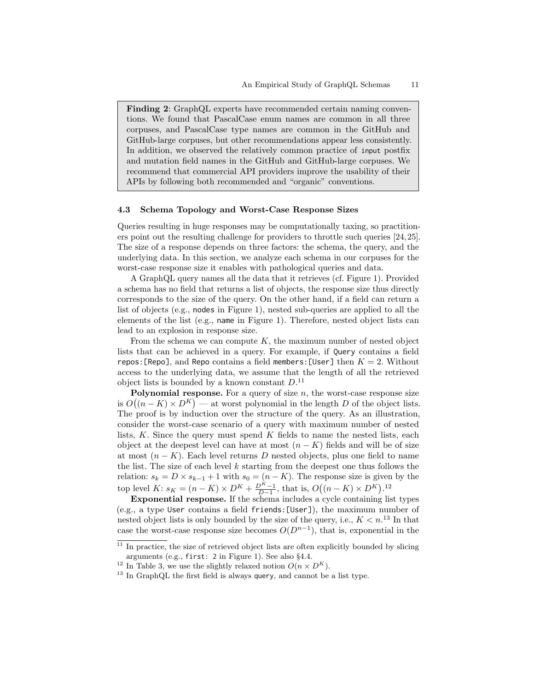Finding 2: GraphQL experts have recommended certain naming conventions. We found that PascalCase enum names are common in all three corpuses, and PascalCase type names are common in the GitHub and GitHub-large corpuses, but other recommendations appear less consistently. In addition, we observed the relatively common practice of input postfix and mutation field names in the GitHub and GitHub-large corpuses. We recommend that commercial API providers improve the usability of their APIs by following both recommended and "organic" conventions.

### <span id="page-10-0"></span>4.3 Schema Topology and Worst-Case Response Sizes

Queries resulting in huge responses may be computationally taxing, so practitioners point out the resulting challenge for providers to throttle such queries [\[24,](#page-15-11) [25\]](#page-15-12). The size of a response depends on three factors: the schema, the query, and the underlying data. In this section, we analyze each schema in our corpuses for the worst-case response size it enables with pathological queries and data.

A GraphQL query names all the data that it retrieves (cf. Figure [1\)](#page-1-0). Provided a schema has no field that returns a list of objects, the response size thus directly corresponds to the size of the query. On the other hand, if a field can return a list of objects (e.g., nodes in Figure [1\)](#page-1-0), nested sub-queries are applied to all the elements of the list (e.g., name in Figure [1\)](#page-1-0). Therefore, nested object lists can lead to an explosion in response size.

From the schema we can compute  $K$ , the maximum number of nested object lists that can be achieved in a query. For example, if Query contains a field repos: [Repo], and Repo contains a field members: [User] then  $K = 2$ . Without access to the underlying data, we assume that the length of all the retrieved object lists is bounded by a known constant  $D^{11}$  $D^{11}$  $D^{11}$ 

Polynomial response. For a query of size  $n$ , the worst-case response size is  $O((n-K) \times D^K)$  — at worst polynomial in the length D of the object lists. The proof is by induction over the structure of the query. As an illustration, consider the worst-case scenario of a query with maximum number of nested lists,  $K$ . Since the query must spend  $K$  fields to name the nested lists, each object at the deepest level can have at most  $(n - K)$  fields and will be of size at most  $(n - K)$ . Each level returns D nested objects, plus one field to name the list. The size of each level  $k$  starting from the deepest one thus follows the relation:  $s_k = D \times s_{k-1} + 1$  with  $s_0 = (n - K)$ . The response size is given by the top level K:  $s_K = (n - K) \times D^K + \frac{D^{K} - 1}{D - 1}$ , that is,  $O((n - K) \times D^K)^{12}$  $O((n - K) \times D^K)^{12}$  $O((n - K) \times D^K)^{12}$ 

Exponential response. If the schema includes a cycle containing list types (e.g., a type User contains a field friends:[User]), the maximum number of nested object lists is only bounded by the size of the query, i.e.,  $K < n$ .<sup>[13](#page-10-3)</sup> In that case the worst-case response size becomes  $O(D^{n-1})$ , that is, exponential in the

<span id="page-10-1"></span> $11$  In practice, the size of retrieved object lists are often explicitly bounded by slicing arguments (e.g., first: 2 in Figure [1\)](#page-1-0). See also §[4.4.](#page-11-0)

<span id="page-10-2"></span><sup>&</sup>lt;sup>12</sup> In Table [3,](#page-11-1) we use the slightly relaxed notion  $O(n \times D^{K})$ .

<span id="page-10-3"></span> $13$  In GraphQL the first field is always query, and cannot be a list type.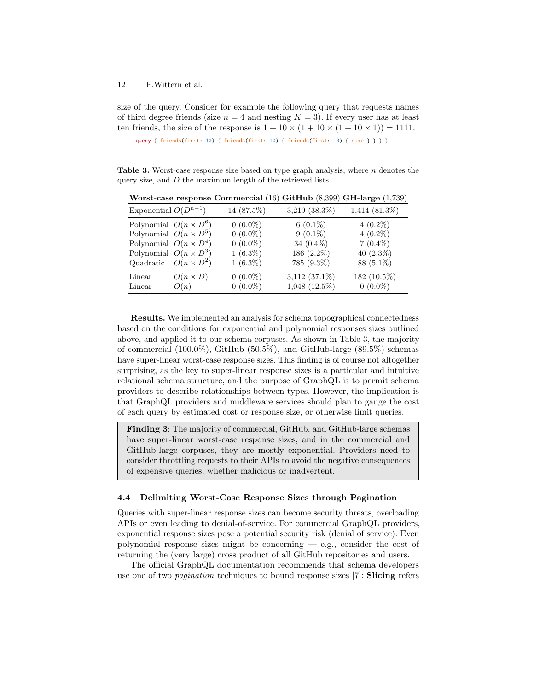size of the query. Consider for example the following query that requests names of third degree friends (size  $n = 4$  and nesting  $K = 3$ ). If every user has at least ten friends, the size of the response is  $1 + 10 \times (1 + 10 \times (1 + 10 \times 1)) = 1111$ .

<span id="page-11-1"></span>query { friends(first: 10) { friends(first: 10) { friends(first: 10) { name } } } }

**Table 3.** Worst-case response size based on type graph analysis, where  $n$  denotes the query size, and  $D$  the maximum length of the retrieved lists.

| Exponential $O(D^{n-1})$ |                              | 14 (87.5%) | $3,219$ $(38.3\%)$ | $1,414$ $(81.3\%)$ |
|--------------------------|------------------------------|------------|--------------------|--------------------|
|                          | Polynomial $O(n \times D^6)$ | $0(0.0\%)$ | $6(0.1\%)$         | $4(0.2\%)$         |
|                          | Polynomial $O(n \times D^5)$ | $0(0.0\%)$ | $9(0.1\%)$         | $4(0.2\%)$         |
|                          | Polynomial $O(n \times D^4)$ | $0(0.0\%)$ | 34 $(0.4\%)$       | $7(0.4\%)$         |
|                          | Polynomial $O(n \times D^3)$ | $1(6.3\%)$ | 186 $(2.2\%)$      | 40 $(2.3\%)$       |
|                          | Quadratic $O(n \times D^2)$  | $1(6.3\%)$ | $785(9.3\%)$       | 88 (5.1%)          |
| Linear                   | $O(n \times D)$              | $0(0.0\%)$ | $3,112$ $(37.1\%)$ | 182 (10.5%)        |
| Linear                   | O(n)                         | $0(0.0\%)$ | $1,048$ $(12.5\%)$ | $0(0.0\%)$         |

Worst-case response Commercial (16) GitHub (8,399) GH-large (1,739)

Results. We implemented an analysis for schema topographical connectedness based on the conditions for exponential and polynomial responses sizes outlined above, and applied it to our schema corpuses. As shown in Table [3,](#page-11-1) the majority of commercial (100.0%), GitHub (50.5%), and GitHub-large (89.5%) schemas have super-linear worst-case response sizes. This finding is of course not altogether surprising, as the key to super-linear response sizes is a particular and intuitive relational schema structure, and the purpose of GraphQL is to permit schema providers to describe relationships between types. However, the implication is that GraphQL providers and middleware services should plan to gauge the cost of each query by estimated cost or response size, or otherwise limit queries.

Finding 3: The majority of commercial, GitHub, and GitHub-large schemas have super-linear worst-case response sizes, and in the commercial and GitHub-large corpuses, they are mostly exponential. Providers need to consider throttling requests to their APIs to avoid the negative consequences of expensive queries, whether malicious or inadvertent.

#### <span id="page-11-0"></span>4.4 Delimiting Worst-Case Response Sizes through Pagination

Queries with super-linear response sizes can become security threats, overloading APIs or even leading to denial-of-service. For commercial GraphQL providers, exponential response sizes pose a potential security risk (denial of service). Even polynomial response sizes might be concerning  $-$  e.g., consider the cost of returning the (very large) cross product of all GitHub repositories and users.

The official GraphQL documentation recommends that schema developers use one of two *pagination* techniques to bound response sizes [\[7\]](#page-14-4): **Slicing** refers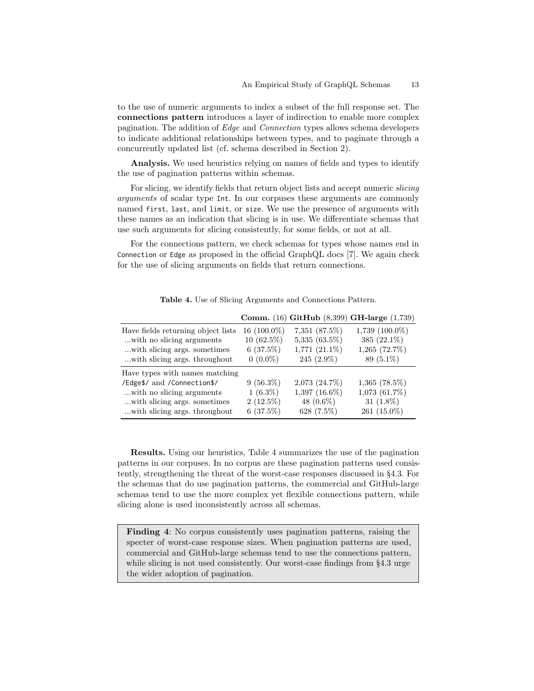to the use of numeric arguments to index a subset of the full response set. The connections pattern introduces a layer of indirection to enable more complex pagination. The addition of Edge and Connection types allows schema developers to indicate additional relationships between types, and to paginate through a concurrently updated list (cf. schema described in Section [2\)](#page-2-1).

Analysis. We used heuristics relying on names of fields and types to identify the use of pagination patterns within schemas.

For slicing, we identify fields that return object lists and accept numeric slicing arguments of scalar type Int. In our corpuses these arguments are commonly named first, last, and limit, or size. We use the presence of arguments with these names as an indication that slicing is in use. We differentiate schemas that use such arguments for slicing consistently, for some fields, or not at all.

For the connections pattern, we check schemas for types whose names end in Connection or Edge as proposed in the official GraphQL docs [\[7\]](#page-14-4). We again check for the use of slicing arguments on fields that return connections.

|                                    |               |                    | Comm. $(16)$ GitHub $(8,399)$ GH-large $(1,739)$ |
|------------------------------------|---------------|--------------------|--------------------------------------------------|
| Have fields returning object lists | $16(100.0\%)$ | $7,351$ $(87.5\%)$ | 1,739 (100.0%)                                   |
| with no slicing arguments          | $10(62.5\%)$  | 5,335 (63.5%)      | 385 (22.1%)                                      |
| with slicing args. sometimes.      | 6(37.5%)      | $1,771(21.1\%)$    | $1,265$ (72.7%)                                  |
| with slicing args. throughout      | $0(0.0\%)$    | $245(2.9\%)$       | 89 (5.1\%)                                       |
| Have types with names matching     |               |                    |                                                  |
| /Edge\$/ and /Connection\$/        | $9(56.3\%)$   | $2,073$ $(24.7\%)$ | $1,365$ $(78.5\%)$                               |
| with no slicing arguments          | $1(6.3\%)$    | 1,397 (16.6%)      | $1,073(61.7\%)$                                  |
| with slicing args. sometimes.      | $2(12.5\%)$   | 48 $(0.6\%)$       | 31 $(1.8\%)$                                     |
| with slicing args. throughout      | 6(37.5%)      | 628 $(7.5\%)$      | $261(15.0\%)$                                    |

<span id="page-12-0"></span>Table 4. Use of Slicing Arguments and Connections Pattern.

Results. Using our heuristics, Table [4](#page-12-0) summarizes the use of the pagination patterns in our corpuses. In no corpus are these pagination patterns used consistently, strengthening the threat of the worst-case responses discussed in §[4.3.](#page-10-0) For the schemas that do use pagination patterns, the commercial and GitHub-large schemas tend to use the more complex yet flexible connections pattern, while slicing alone is used inconsistently across all schemas.

Finding 4: No corpus consistently uses pagination patterns, raising the specter of worst-case response sizes. When pagination patterns are used, commercial and GitHub-large schemas tend to use the connections pattern, while slicing is not used consistently. Our worst-case findings from §[4.3](#page-10-0) urge the wider adoption of pagination.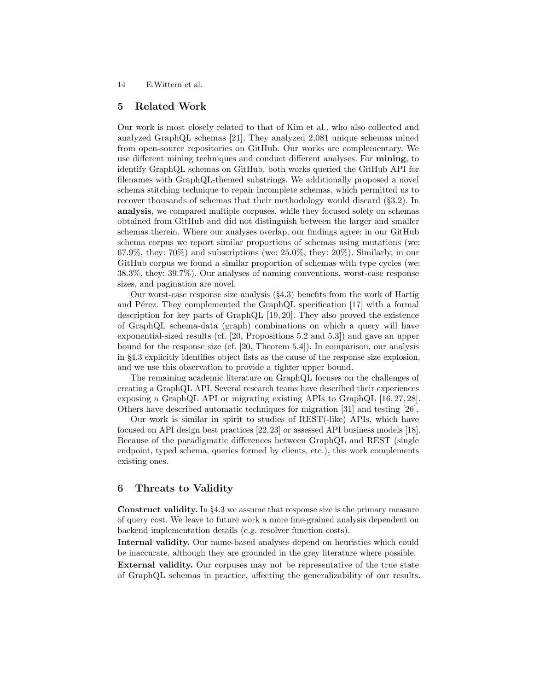#### 14 E.Wittern et al.

### 5 Related Work

Our work is most closely related to that of Kim et al., who also collected and analyzed GraphQL schemas [\[21\]](#page-15-13). They analyzed 2,081 unique schemas mined from open-source repositories on GitHub. Our works are complementary. We use different mining techniques and conduct different analyses. For mining, to identify GraphQL schemas on GitHub, both works queried the GitHub API for filenames with GraphQL-themed substrings. We additionally proposed a novel schema stitching technique to repair incomplete schemas, which permitted us to recover thousands of schemas that their methodology would discard (§[3.2\)](#page-5-0). In analysis, we compared multiple corpuses, while they focused solely on schemas obtained from GitHub and did not distinguish between the larger and smaller schemas therein. Where our analyses overlap, our findings agree: in our GitHub schema corpus we report similar proportions of schemas using mutations (we: 67.9%, they: 70%) and subscriptions (we: 25.0%, they: 20%). Similarly, in our GitHub corpus we found a similar proportion of schemas with type cycles (we: 38.3%, they: 39.7%). Our analyses of naming conventions, worst-case response sizes, and pagination are novel.

Our worst-case response size analysis (§[4.3\)](#page-10-0) benefits from the work of Hartig and Pérez. They complemented the GraphQL specification  $[17]$  with a formal description for key parts of GraphQL [\[19,](#page-15-15) [20\]](#page-15-16). They also proved the existence of GraphQL schema-data (graph) combinations on which a query will have exponential-sized results (cf. [\[20,](#page-15-16) Propositions 5.2 and 5.3]) and gave an upper bound for the response size (cf. [\[20,](#page-15-16) Theorem 5.4]). In comparison, our analysis in §[4.3](#page-10-0) explicitly identifies object lists as the cause of the response size explosion, and we use this observation to provide a tighter upper bound.

The remaining academic literature on GraphQL focuses on the challenges of creating a GraphQL API. Several research teams have described their experiences exposing a GraphQL API or migrating existing APIs to GraphQL [\[16,](#page-15-1) [27,](#page-15-17) [28\]](#page-15-18). Others have described automatic techniques for migration [\[31\]](#page-15-19) and testing [\[26\]](#page-15-20).

Our work is similar in spirit to studies of REST(-like) APIs, which have focused on API design best practices [\[22,](#page-15-5)[23\]](#page-15-6) or assessed API business models [\[18\]](#page-15-4). Because of the paradigmatic differences between GraphQL and REST (single endpoint, typed schema, queries formed by clients, etc.), this work complements existing ones.

# 6 Threats to Validity

Construct validity. In §[4.3](#page-10-0) we assume that response size is the primary measure of query cost. We leave to future work a more fine-grained analysis dependent on backend implementation details (e.g. resolver function costs).

Internal validity. Our name-based analyses depend on heuristics which could be inaccurate, although they are grounded in the grey literature where possible.

External validity. Our corpuses may not be representative of the true state of GraphQL schemas in practice, affecting the generalizability of our results.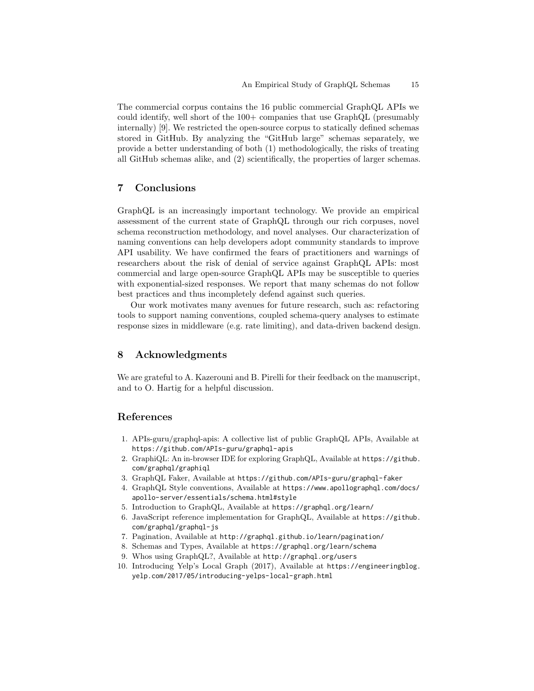The commercial corpus contains the 16 public commercial GraphQL APIs we could identify, well short of the 100+ companies that use GraphQL (presumably internally) [\[9\]](#page-14-9). We restricted the open-source corpus to statically defined schemas stored in GitHub. By analyzing the "GitHub large" schemas separately, we provide a better understanding of both (1) methodologically, the risks of treating all GitHub schemas alike, and (2) scientifically, the properties of larger schemas.

# 7 Conclusions

GraphQL is an increasingly important technology. We provide an empirical assessment of the current state of GraphQL through our rich corpuses, novel schema reconstruction methodology, and novel analyses. Our characterization of naming conventions can help developers adopt community standards to improve API usability. We have confirmed the fears of practitioners and warnings of researchers about the risk of denial of service against GraphQL APIs: most commercial and large open-source GraphQL APIs may be susceptible to queries with exponential-sized responses. We report that many schemas do not follow best practices and thus incompletely defend against such queries.

Our work motivates many avenues for future research, such as: refactoring tools to support naming conventions, coupled schema-query analyses to estimate response sizes in middleware (e.g. rate limiting), and data-driven backend design.

### 8 Acknowledgments

We are grateful to A. Kazerouni and B. Pirelli for their feedback on the manuscript, and to O. Hartig for a helpful discussion.

# References

- <span id="page-14-5"></span>1. APIs-guru/graphql-apis: A collective list of public GraphQL APIs, Available at <https://github.com/APIs-guru/graphql-apis>
- <span id="page-14-0"></span>2. GraphiQL: An in-browser IDE for exploring GraphQL, Available at [https://github.](https://github.com/graphql/graphiql) [com/graphql/graphiql](https://github.com/graphql/graphiql)
- <span id="page-14-1"></span>3. GraphQL Faker, Available at <https://github.com/APIs-guru/graphql-faker>
- <span id="page-14-7"></span>4. GraphQL Style conventions, Available at [https://www.apollographql.com/docs/](https://www.apollographql.com/docs/apollo-server/essentials/schema.html#style) [apollo-server/essentials/schema.html#style](https://www.apollographql.com/docs/apollo-server/essentials/schema.html#style)
- <span id="page-14-8"></span>5. Introduction to GraphQL, Available at <https://graphql.org/learn/>
- <span id="page-14-3"></span>6. JavaScript reference implementation for GraphQL, Available at [https://github.](https://github.com/graphql/graphql-js) [com/graphql/graphql-js](https://github.com/graphql/graphql-js)
- <span id="page-14-4"></span>7. Pagination, Available at <http://graphql.github.io/learn/pagination/>
- <span id="page-14-6"></span>8. Schemas and Types, Available at <https://graphql.org/learn/schema>
- <span id="page-14-9"></span>9. Whos using GraphQL?, Available at <http://graphql.org/users>
- <span id="page-14-2"></span>10. Introducing Yelp's Local Graph (2017), Available at [https://engineeringblog.](https://engineeringblog.yelp.com/2017/05/introducing-yelps-local-graph.html) [yelp.com/2017/05/introducing-yelps-local-graph.html](https://engineeringblog.yelp.com/2017/05/introducing-yelps-local-graph.html)